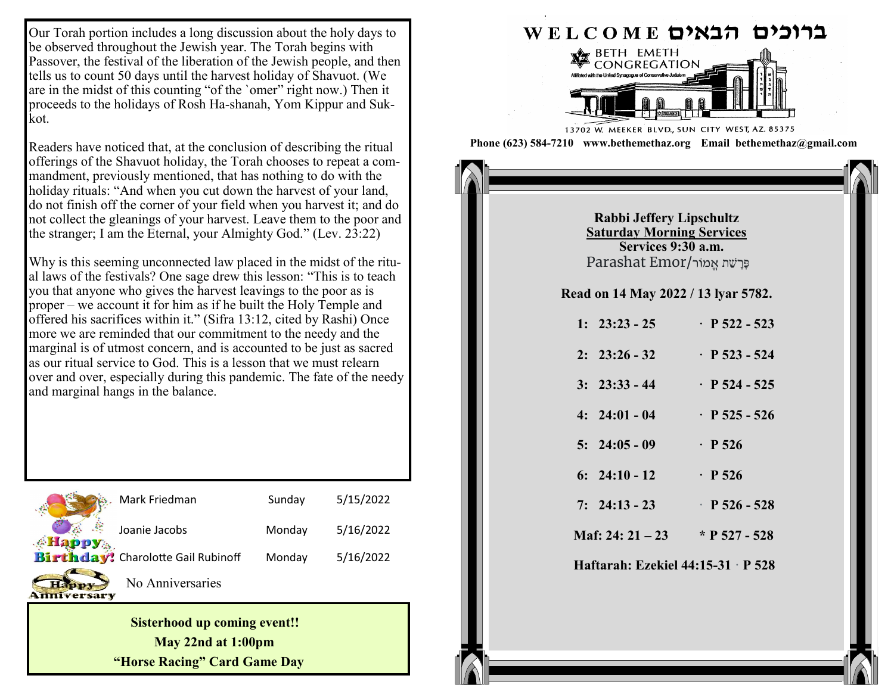Our Torah portion includes a long discussion about the holy days to be observed throughout the Jewish year. The Torah begins with Passover, the festival of the liberation of the Jewish people, and then tells us to count 50 days until the harvest holiday of Shavuot. (We are in the midst of this counting "of the `omer" right now.) Then it proceeds to the holidays of Rosh Ha-shanah, Yom Kippur and Sukkot.

Readers have noticed that, at the conclusion of describing the ritual offerings of the Shavuot holiday, the Torah chooses to repeat a commandment, previously mentioned, that has nothing to do with the holiday rituals: "And when you cut down the harvest of your land, do not finish off the corner of your field when you harvest it; and do not collect the gleanings of your harvest. Leave them to the poor and the stranger; I am the Eternal, your Almighty God." (Lev. 23:22)

Why is this seeming unconnected law placed in the midst of the ritual laws of the festivals? One sage drew this lesson: "This is to teach you that anyone who gives the harvest leavings to the poor as is proper – we account it for him as if he built the Holy Temple and offered his sacrifices within it." (Sifra 13:12, cited by Rashi) Once more we are reminded that our commitment to the needy and the marginal is of utmost concern, and is accounted to be just as sacred as our ritual service to God. This is a lesson that we must relearn over and over, especially during this pandemic. The fate of the needy and marginal hangs in the balance.

| Mark Friedman                      | Sunday | 5/15/2022 |
|------------------------------------|--------|-----------|
| Joanie Jacobs                      | Monday | 5/16/2022 |
| Birthday! Charolotte Gail Rubinoff | Monday | 5/16/2022 |
| No Anniversaries<br>iversary       |        |           |
|                                    |        |           |

 **Sisterhood up coming event!! May 22nd at 1:00pm "Horse Racing" Card Game Day**